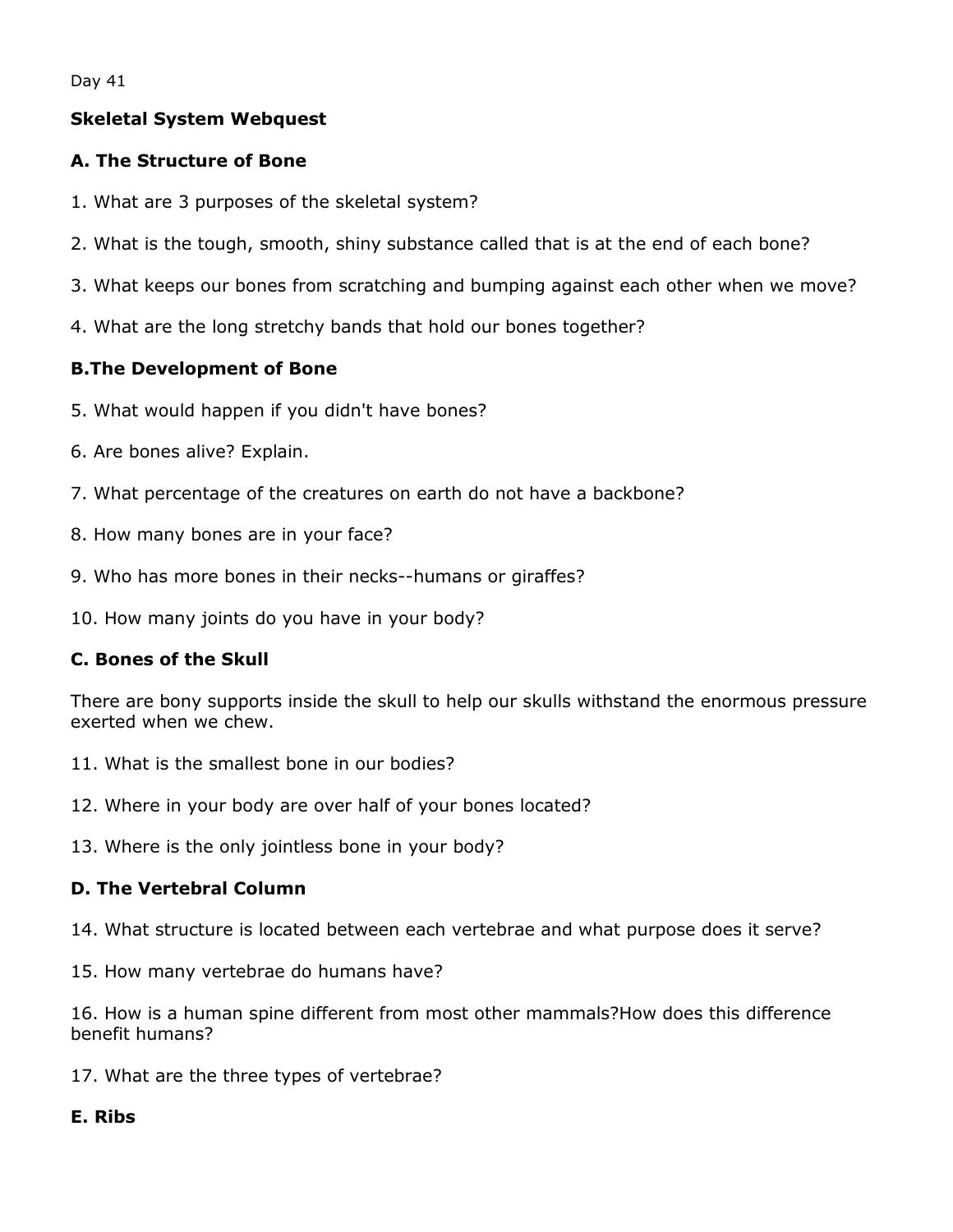Day 41

## **Skeletal System Webquest**

### **A. The Structure of Bone**

- 1. What are 3 purposes of the skeletal system?
- 2. What is the tough, smooth, shiny substance called that is at the end of each bone?
- 3. What keeps our bones from scratching and bumping against each other when we move?
- 4. What are the long stretchy bands that hold our bones together?

## **B.The Development of Bone**

- 5. What would happen if you didn't have bones?
- 6. Are bones alive? Explain.
- 7. What percentage of the creatures on earth do not have a backbone?
- 8. How many bones are in your face?
- 9. Who has more bones in their necks--humans or giraffes?
- 10. How many joints do you have in your body?

#### **C. Bones of the Skull**

There are bony supports inside the skull to help our skulls withstand the enormous pressure exerted when we chew.

- 11. What is the smallest bone in our bodies?
- 12. Where in your body are over half of your bones located?
- 13. Where is the only jointless bone in your body?

#### **D. The Vertebral Column**

14. What structure is located between each vertebrae and what purpose does it serve?

15. How many vertebrae do humans have?

16. How is a human spine different from most other mammals?How does this difference benefit humans?

17. What are the three types of vertebrae?

#### **E. Ribs**